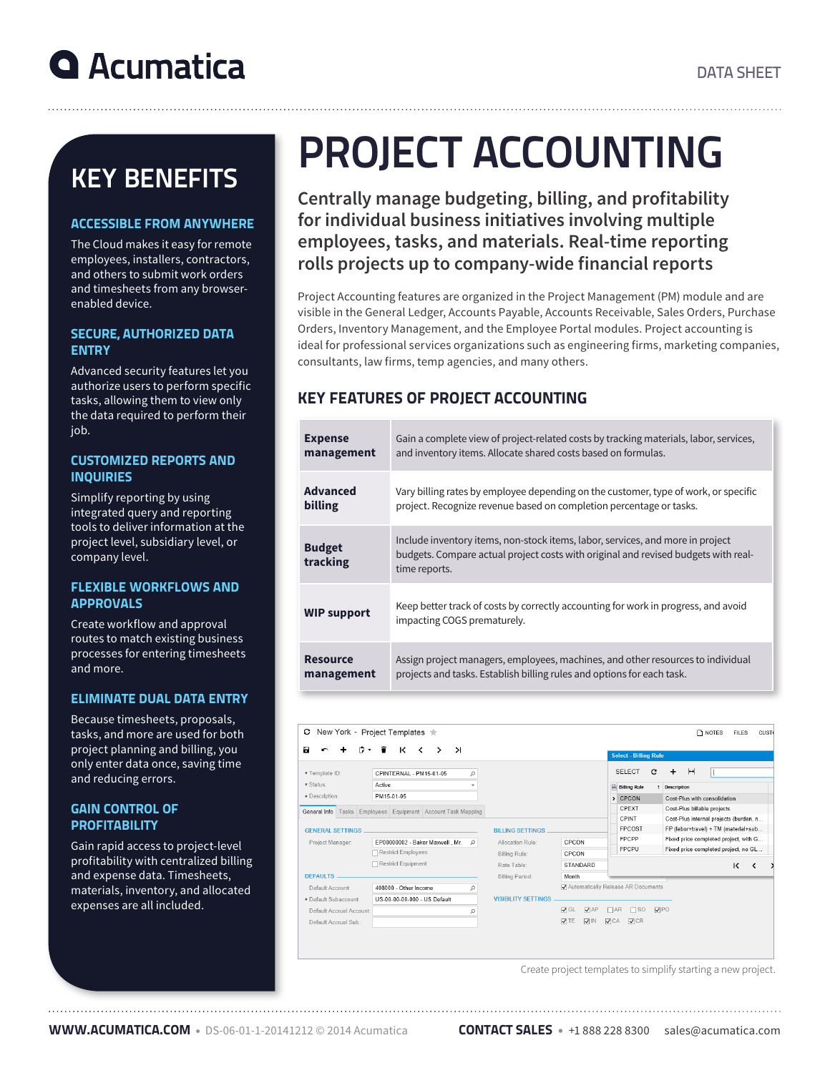# KEY BENEFITS

# ACCESSIBLE FROM ANYWHERE

The Cloud makes it easy for remote employees, installers, contractors, and others to submit work orders and timesheets from any browserenabled device.

# SECURE, AUTHORIZED DATA ENTRY

Advanced security features let you authorize users to perform specific tasks, allowing them to view only the data required to perform their job.

### CUSTOMIZED REPORTS AND **INQUIRIES**

Simplify reporting by using integrated query and reporting tools to deliver information at the project level, subsidiary level, or company level.

### FLEXIBLE WORKFLOWS AND APPROVALS

Create workflow and approval routes to match existing business processes for entering timesheets and more.

# ELIMINATE DUAL DATA ENTRY

Because timesheets, proposals, tasks, and more are used for both project planning and billing, you only enter data once, saving time and reducing errors.

#### GAIN CONTROL OF **PROFITABILITY**

Gain rapid access to project-level profitability with centralized billing and expense data. Timesheets, materials, inventory, and allocated expenses are all included.

# PROJECT ACCOUNTING

**Centrally manage budgeting, billing, and profitability for individual business initiatives involving multiple employees, tasks, and materials. Real-time reporting rolls projects up to company-wide financial reports**

Project Accounting features are organized in the Project Management (PM) module and are visible in the General Ledger, Accounts Payable, Accounts Receivable, Sales Orders, Purchase Orders, Inventory Management, and the Employee Portal modules. Project accounting is ideal for professional services organizations such as engineering firms, marketing companies, consultants, law firms, temp agencies, and many others.

# KEY FEATURES OF PROJECT ACCOUNTING

| <b>Expense</b>            | Gain a complete view of project-related costs by tracking materials, labor, services,                                                                                                 |
|---------------------------|---------------------------------------------------------------------------------------------------------------------------------------------------------------------------------------|
| management                | and inventory items. Allocate shared costs based on formulas.                                                                                                                         |
| <b>Advanced</b>           | Vary billing rates by employee depending on the customer, type of work, or specific                                                                                                   |
| billing                   | project. Recognize revenue based on completion percentage or tasks.                                                                                                                   |
| <b>Budget</b><br>tracking | Include inventory items, non-stock items, labor, services, and more in project<br>budgets. Compare actual project costs with original and revised budgets with real-<br>time reports. |
| <b>WIP support</b>        | Keep better track of costs by correctly accounting for work in progress, and avoid<br>impacting COGS prematurely.                                                                     |
| <b>Resource</b>           | Assign project managers, employees, machines, and other resources to individual                                                                                                       |
| management                | projects and tasks. Establish billing rules and options for each task.                                                                                                                |



Create project templates to simplify starting a new project.